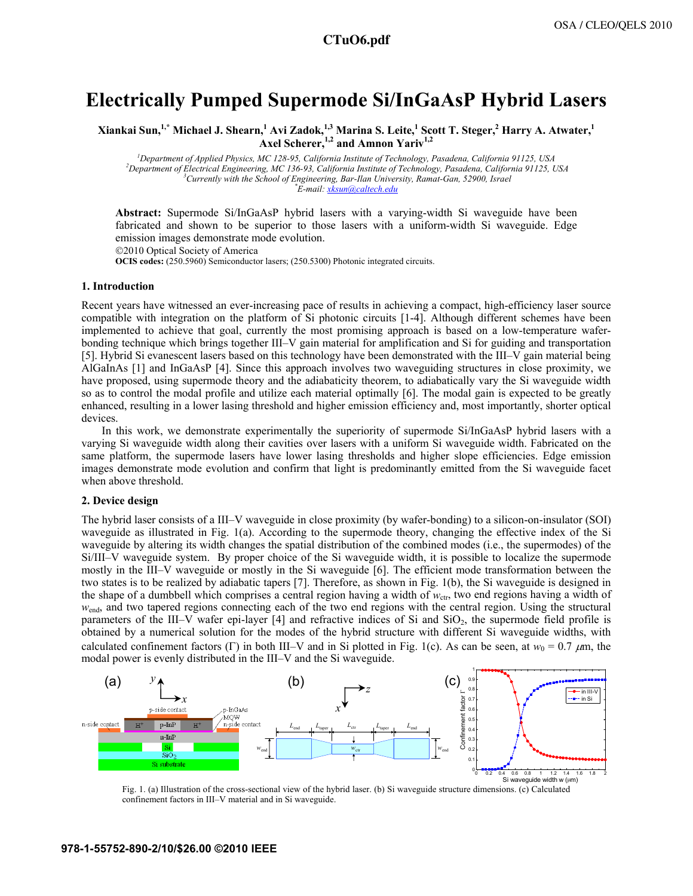# **Electrically Pumped Supermode Si/InGaAsP Hybrid Lasers**

 $X$ iankai Sun,<sup>1,\*</sup> Michael J. Shearn, $^1$  Avi Zadok, $^{1,3}$  Marina S. Leite, $^1$  Scott T. Steger, $^2$  Harry A. Atwater, $^1$ Axel Scherer,<sup>1,2</sup> and Amnon Yariv<sup>1,2</sup>

<sup>1</sup> *Department of Applied Physics, MC 128-95, California Institute of Technology, Pasadena, California 91125, USA*<br><sup>2</sup> Department of Electrical Engineering, MC 126.03, California Institute of Technology, Pasadena, Califor *Department of Electrical Engineering, MC 136-93, California Institute of Technology, Pasadena, California 91125, USA 3 Currently with the School of Engineering, Bar-Ilan University, Ramat-Gan, 52900, Israel \* E-mail: xksun@caltech.edu*

**Abstract:** Supermode Si/InGaAsP hybrid lasers with a varying-width Si waveguide have been fabricated and shown to be superior to those lasers with a uniform-width Si waveguide. Edge emission images demonstrate mode evolution.

©2010 Optical Society of America

**OCIS codes:** (250.5960) Semiconductor lasers; (250.5300) Photonic integrated circuits.

### **1. Introduction**

Recent years have witnessed an ever-increasing pace of results in achieving a compact, high-efficiency laser source compatible with integration on the platform of Si photonic circuits [1-4]. Although different schemes have been implemented to achieve that goal, currently the most promising approach is based on a low-temperature waferbonding technique which brings together III–V gain material for amplification and Si for guiding and transportation [5]. Hybrid Si evanescent lasers based on this technology have been demonstrated with the III–V gain material being AlGaInAs [1] and InGaAsP [4]. Since this approach involves two waveguiding structures in close proximity, we have proposed, using supermode theory and the adiabaticity theorem, to adiabatically vary the Si waveguide width so as to control the modal profile and utilize each material optimally [6]. The modal gain is expected to be greatly enhanced, resulting in a lower lasing threshold and higher emission efficiency and, most importantly, shorter optical devices.

In this work, we demonstrate experimentally the superiority of supermode Si/InGaAsP hybrid lasers with a varying Si waveguide width along their cavities over lasers with a uniform Si waveguide width. Fabricated on the same platform, the supermode lasers have lower lasing thresholds and higher slope efficiencies. Edge emission images demonstrate mode evolution and confirm that light is predominantly emitted from the Si waveguide facet when above threshold.

### **2. Device design**

The hybrid laser consists of a III–V waveguide in close proximity (by wafer-bonding) to a silicon-on-insulator (SOI) waveguide as illustrated in Fig. 1(a). According to the supermode theory, changing the effective index of the Si waveguide by altering its width changes the spatial distribution of the combined modes (i.e., the supermodes) of the Si/III–V waveguide system. By proper choice of the Si waveguide width, it is possible to localize the supermode mostly in the III–V waveguide or mostly in the Si waveguide [6]. The efficient mode transformation between the two states is to be realized by adiabatic tapers [7]. Therefore, as shown in Fig. 1(b), the Si waveguide is designed in the shape of a dumbbell which comprises a central region having a width of  $w_{\text{ctr}}$ , two end regions having a width of *w*<sub>end</sub>, and two tapered regions connecting each of the two end regions with the central region. Using the structural parameters of the III–V wafer epi-layer  $[4]$  and refractive indices of Si and SiO<sub>2</sub>, the supermode field profile is obtained by a numerical solution for the modes of the hybrid structure with different Si waveguide widths, with calculated confinement factors (Γ) in both III–V and in Si plotted in Fig. 1(c). As can be seen, at  $w_0 = 0.7 \mu m$ , the modal power is evenly distributed in the III–V and the Si waveguide.



Fig. 1. (a) Illustration of the cross-sectional view of the hybrid laser. (b) Si waveguide structure dimensions. (c) Calculated confinement factors in III–V material and in Si waveguide.